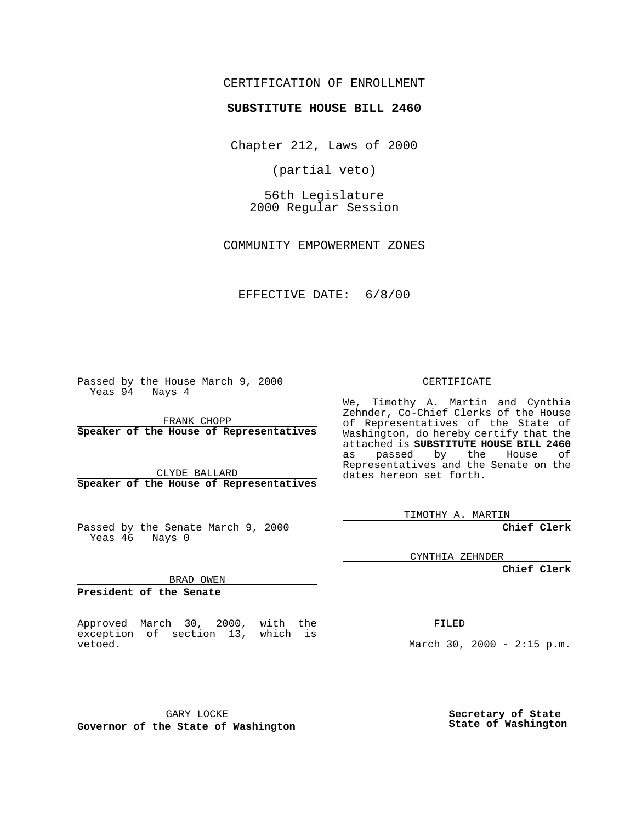#### CERTIFICATION OF ENROLLMENT

# **SUBSTITUTE HOUSE BILL 2460**

Chapter 212, Laws of 2000

(partial veto)

56th Legislature 2000 Regular Session

COMMUNITY EMPOWERMENT ZONES

EFFECTIVE DATE: 6/8/00

Passed by the House March 9, 2000 Yeas 94 Nays 4

FRANK CHOPP **Speaker of the House of Representatives**

CLYDE BALLARD **Speaker of the House of Representatives**

Passed by the Senate March 9, 2000 Yeas 46 Nays 0

**President of the Senate**

Approved March 30, 2000, with the exception of section 13, which is vetoed.

BRAD OWEN

CERTIFICATE

We, Timothy A. Martin and Cynthia Zehnder, Co-Chief Clerks of the House of Representatives of the State of Washington, do hereby certify that the attached is **SUBSTITUTE HOUSE BILL 2460** as passed by the House of Representatives and the Senate on the dates hereon set forth.

TIMOTHY A. MARTIN

**Chief Clerk**

CYNTHIA ZEHNDER

**Chief Clerk**

FILED

March 30, 2000 - 2:15 p.m.

GARY LOCKE

**Governor of the State of Washington**

**Secretary of State State of Washington**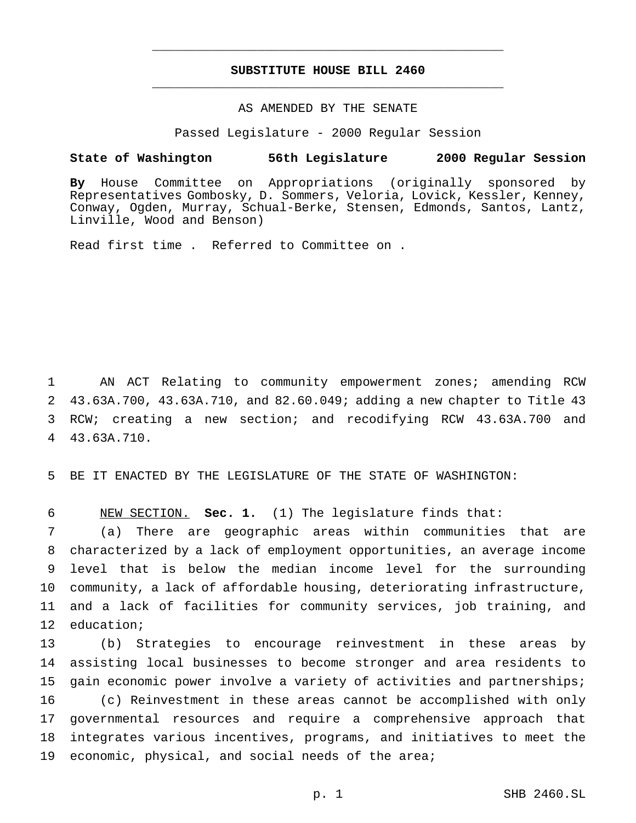### **SUBSTITUTE HOUSE BILL 2460** \_\_\_\_\_\_\_\_\_\_\_\_\_\_\_\_\_\_\_\_\_\_\_\_\_\_\_\_\_\_\_\_\_\_\_\_\_\_\_\_\_\_\_\_\_\_\_

\_\_\_\_\_\_\_\_\_\_\_\_\_\_\_\_\_\_\_\_\_\_\_\_\_\_\_\_\_\_\_\_\_\_\_\_\_\_\_\_\_\_\_\_\_\_\_

## AS AMENDED BY THE SENATE

Passed Legislature - 2000 Regular Session

#### **State of Washington 56th Legislature 2000 Regular Session**

**By** House Committee on Appropriations (originally sponsored by Representatives Gombosky, D. Sommers, Veloria, Lovick, Kessler, Kenney, Conway, Ogden, Murray, Schual-Berke, Stensen, Edmonds, Santos, Lantz, Linville, Wood and Benson)

Read first time . Referred to Committee on .

 AN ACT Relating to community empowerment zones; amending RCW 43.63A.700, 43.63A.710, and 82.60.049; adding a new chapter to Title 43 RCW; creating a new section; and recodifying RCW 43.63A.700 and 43.63A.710.

BE IT ENACTED BY THE LEGISLATURE OF THE STATE OF WASHINGTON:

NEW SECTION. **Sec. 1.** (1) The legislature finds that:

 (a) There are geographic areas within communities that are characterized by a lack of employment opportunities, an average income level that is below the median income level for the surrounding community, a lack of affordable housing, deteriorating infrastructure, and a lack of facilities for community services, job training, and education;

 (b) Strategies to encourage reinvestment in these areas by assisting local businesses to become stronger and area residents to gain economic power involve a variety of activities and partnerships; (c) Reinvestment in these areas cannot be accomplished with only governmental resources and require a comprehensive approach that integrates various incentives, programs, and initiatives to meet the economic, physical, and social needs of the area;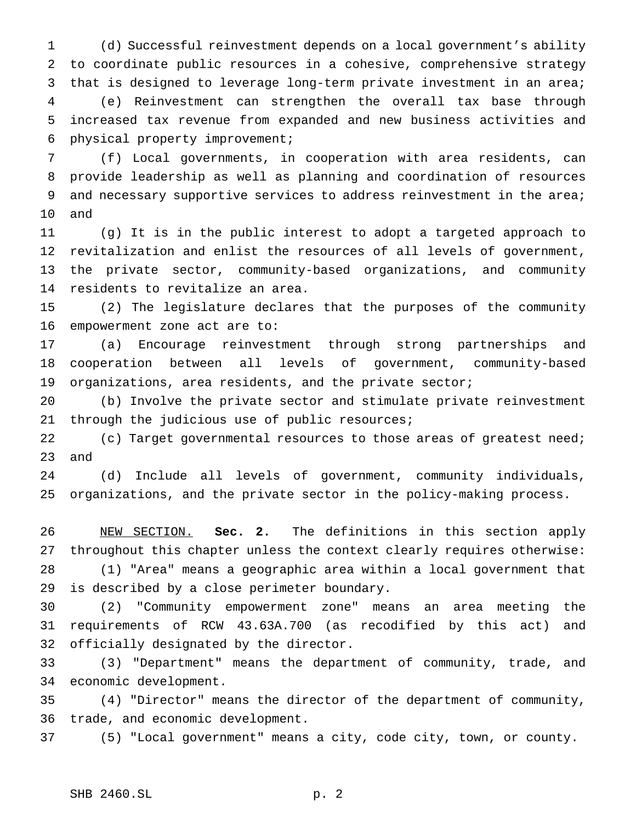(d) Successful reinvestment depends on a local government's ability to coordinate public resources in a cohesive, comprehensive strategy that is designed to leverage long-term private investment in an area; (e) Reinvestment can strengthen the overall tax base through increased tax revenue from expanded and new business activities and physical property improvement;

 (f) Local governments, in cooperation with area residents, can provide leadership as well as planning and coordination of resources 9 and necessary supportive services to address reinvestment in the area; and

 (g) It is in the public interest to adopt a targeted approach to revitalization and enlist the resources of all levels of government, the private sector, community-based organizations, and community residents to revitalize an area.

 (2) The legislature declares that the purposes of the community empowerment zone act are to:

 (a) Encourage reinvestment through strong partnerships and cooperation between all levels of government, community-based organizations, area residents, and the private sector;

 (b) Involve the private sector and stimulate private reinvestment 21 through the judicious use of public resources;

22 (c) Target governmental resources to those areas of greatest need; and

 (d) Include all levels of government, community individuals, organizations, and the private sector in the policy-making process.

 NEW SECTION. **Sec. 2.** The definitions in this section apply throughout this chapter unless the context clearly requires otherwise: (1) "Area" means a geographic area within a local government that is described by a close perimeter boundary.

 (2) "Community empowerment zone" means an area meeting the requirements of RCW 43.63A.700 (as recodified by this act) and officially designated by the director.

 (3) "Department" means the department of community, trade, and economic development.

 (4) "Director" means the director of the department of community, trade, and economic development.

(5) "Local government" means a city, code city, town, or county.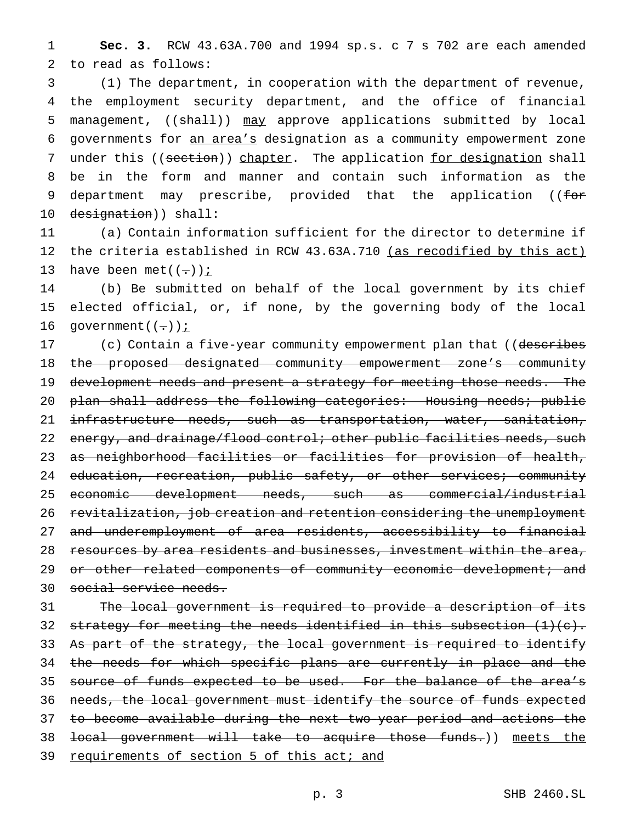1 **Sec. 3.** RCW 43.63A.700 and 1994 sp.s. c 7 s 702 are each amended 2 to read as follows:

3 (1) The department, in cooperation with the department of revenue, 4 the employment security department, and the office of financial 5 management, ((shall)) may approve applications submitted by local 6 governments for an area's designation as a community empowerment zone 7 under this ((section)) chapter. The application for designation shall 8 be in the form and manner and contain such information as the 9 department may prescribe, provided that the application ((for 10 designation)) shall:

11 (a) Contain information sufficient for the director to determine if 12 the criteria established in RCW 43.63A.710 (as recodified by this act) 13 have been met( $(-)$ );

14 (b) Be submitted on behalf of the local government by its chief 15 elected official, or, if none, by the governing body of the local 16 government $((-))$  *i* 

17 (c) Contain a five-year community empowerment plan that ((describes 18 the proposed designated community empowerment zone's community 19 development needs and present a strategy for meeting those needs. The 20 plan shall address the following categories: Housing needs; public 21 infrastructure needs, such as transportation, water, sanitation, 22 energy, and drainage/flood control; other public facilities needs, such 23 as neighborhood facilities or facilities for provision of health, 24 education, recreation, public safety, or other services; community 25 economic development needs, such as commercial/industrial 26 revitalization, job creation and retention considering the unemployment 27 and underemployment of area residents, accessibility to financial 28 resources by area residents and businesses, investment within the area, 29 or other related components of community economic development; and 30 social service needs.

31 The local government is required to provide a description of its 32 strategy for meeting the needs identified in this subsection  $(1)(e)$ . 33 As part of the strategy, the local government is required to identify 34 the needs for which specific plans are currently in place and the 35 source of funds expected to be used. For the balance of the area's 36 needs, the local government must identify the source of funds expected 37 to become available during the next two-year period and actions the 38 local government will take to acquire those funds.)) meets the 39 requirements of section 5 of this act; and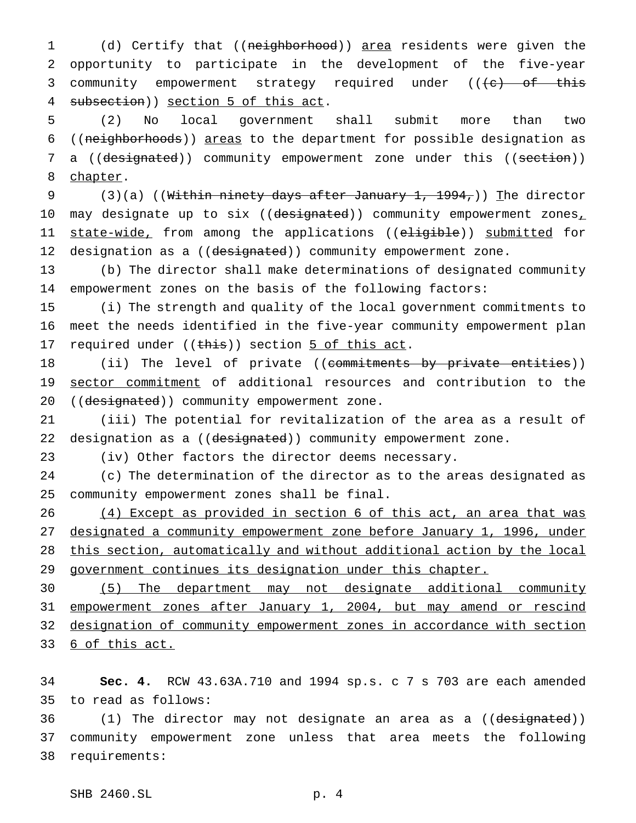(d) Certify that ((neighborhood)) area residents were given the opportunity to participate in the development of the five-year 3 community empowerment strategy required under (((e) of this 4 subsection)) section 5 of this act.

 (2) No local government shall submit more than two ((neighborhoods)) areas to the department for possible designation as 7 a ((designated)) community empowerment zone under this ((section)) 8 chapter.

9 (3)(a) ((Within ninety days after January 1,  $1994<sub>7</sub>$ )) The director 10 may designate up to six ((designated)) community empowerment zones, 11 state-wide, from among the applications ((eligible)) submitted for 12 designation as a ((designated)) community empowerment zone.

 (b) The director shall make determinations of designated community empowerment zones on the basis of the following factors:

 (i) The strength and quality of the local government commitments to meet the needs identified in the five-year community empowerment plan 17 required under ((this)) section 5 of this act.

18 (ii) The level of private ((commitments by private entities)) 19 sector commitment of additional resources and contribution to the 20 ((designated)) community empowerment zone.

 (iii) The potential for revitalization of the area as a result of 22 designation as a ((designated)) community empowerment zone.

(iv) Other factors the director deems necessary.

 (c) The determination of the director as to the areas designated as community empowerment zones shall be final.

 (4) Except as provided in section 6 of this act, an area that was designated a community empowerment zone before January 1, 1996, under this section, automatically and without additional action by the local government continues its designation under this chapter.

 (5) The department may not designate additional community empowerment zones after January 1, 2004, but may amend or rescind designation of community empowerment zones in accordance with section 6 of this act.

 **Sec. 4.** RCW 43.63A.710 and 1994 sp.s. c 7 s 703 are each amended to read as follows:

36 (1) The director may not designate an area as a ((designated)) community empowerment zone unless that area meets the following requirements: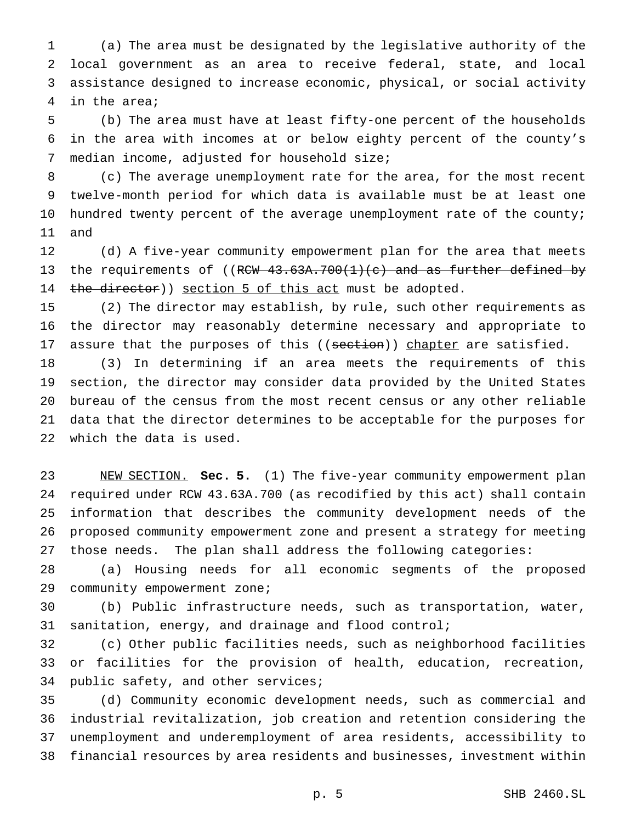(a) The area must be designated by the legislative authority of the local government as an area to receive federal, state, and local assistance designed to increase economic, physical, or social activity in the area;

 (b) The area must have at least fifty-one percent of the households in the area with incomes at or below eighty percent of the county's median income, adjusted for household size;

 (c) The average unemployment rate for the area, for the most recent twelve-month period for which data is available must be at least one hundred twenty percent of the average unemployment rate of the county; and

 (d) A five-year community empowerment plan for the area that meets 13 the requirements of ((RCW 43.63A.700(1)(c) and as further defined by 14 the director)) section 5 of this act must be adopted.

 (2) The director may establish, by rule, such other requirements as the director may reasonably determine necessary and appropriate to 17 assure that the purposes of this ((section)) chapter are satisfied.

 (3) In determining if an area meets the requirements of this section, the director may consider data provided by the United States bureau of the census from the most recent census or any other reliable data that the director determines to be acceptable for the purposes for which the data is used.

 NEW SECTION. **Sec. 5.** (1) The five-year community empowerment plan required under RCW 43.63A.700 (as recodified by this act) shall contain information that describes the community development needs of the proposed community empowerment zone and present a strategy for meeting those needs. The plan shall address the following categories:

 (a) Housing needs for all economic segments of the proposed 29 community empowerment zone;

 (b) Public infrastructure needs, such as transportation, water, sanitation, energy, and drainage and flood control;

 (c) Other public facilities needs, such as neighborhood facilities or facilities for the provision of health, education, recreation, public safety, and other services;

 (d) Community economic development needs, such as commercial and industrial revitalization, job creation and retention considering the unemployment and underemployment of area residents, accessibility to financial resources by area residents and businesses, investment within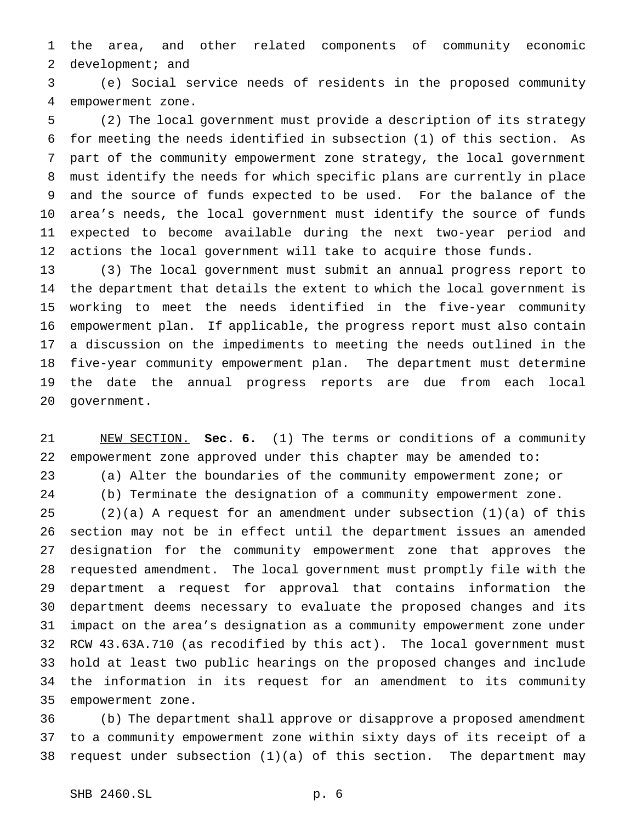the area, and other related components of community economic 2 development; and

 (e) Social service needs of residents in the proposed community empowerment zone.

 (2) The local government must provide a description of its strategy for meeting the needs identified in subsection (1) of this section. As part of the community empowerment zone strategy, the local government must identify the needs for which specific plans are currently in place and the source of funds expected to be used. For the balance of the area's needs, the local government must identify the source of funds expected to become available during the next two-year period and actions the local government will take to acquire those funds.

 (3) The local government must submit an annual progress report to the department that details the extent to which the local government is working to meet the needs identified in the five-year community empowerment plan. If applicable, the progress report must also contain a discussion on the impediments to meeting the needs outlined in the five-year community empowerment plan. The department must determine the date the annual progress reports are due from each local government.

 NEW SECTION. **Sec. 6.** (1) The terms or conditions of a community empowerment zone approved under this chapter may be amended to: (a) Alter the boundaries of the community empowerment zone; or

(b) Terminate the designation of a community empowerment zone.

 (2)(a) A request for an amendment under subsection (1)(a) of this section may not be in effect until the department issues an amended designation for the community empowerment zone that approves the requested amendment. The local government must promptly file with the department a request for approval that contains information the department deems necessary to evaluate the proposed changes and its impact on the area's designation as a community empowerment zone under RCW 43.63A.710 (as recodified by this act). The local government must hold at least two public hearings on the proposed changes and include the information in its request for an amendment to its community empowerment zone.

 (b) The department shall approve or disapprove a proposed amendment to a community empowerment zone within sixty days of its receipt of a request under subsection (1)(a) of this section. The department may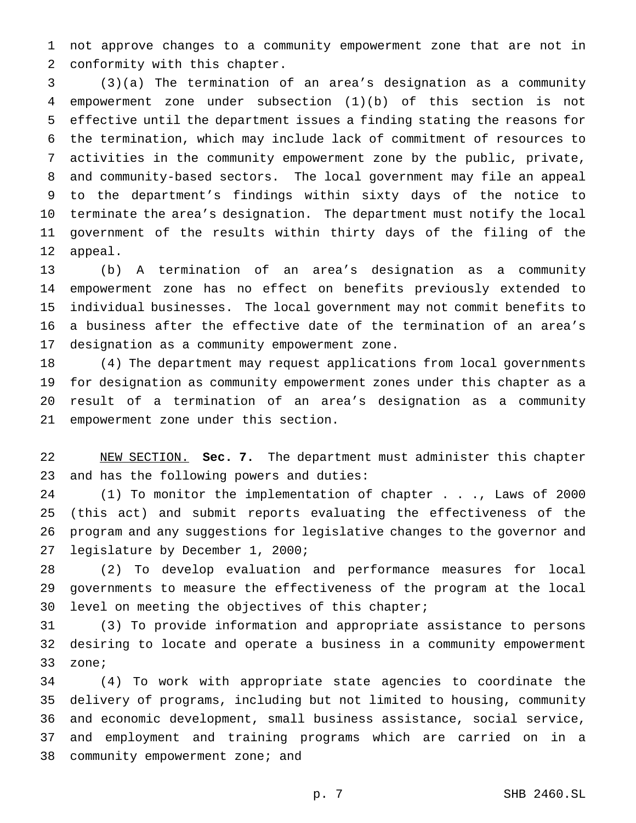not approve changes to a community empowerment zone that are not in conformity with this chapter.

 (3)(a) The termination of an area's designation as a community empowerment zone under subsection (1)(b) of this section is not effective until the department issues a finding stating the reasons for the termination, which may include lack of commitment of resources to activities in the community empowerment zone by the public, private, and community-based sectors. The local government may file an appeal to the department's findings within sixty days of the notice to terminate the area's designation. The department must notify the local government of the results within thirty days of the filing of the appeal.

 (b) A termination of an area's designation as a community empowerment zone has no effect on benefits previously extended to individual businesses. The local government may not commit benefits to a business after the effective date of the termination of an area's designation as a community empowerment zone.

 (4) The department may request applications from local governments for designation as community empowerment zones under this chapter as a result of a termination of an area's designation as a community empowerment zone under this section.

 NEW SECTION. **Sec. 7.** The department must administer this chapter and has the following powers and duties:

 (1) To monitor the implementation of chapter . . ., Laws of 2000 (this act) and submit reports evaluating the effectiveness of the program and any suggestions for legislative changes to the governor and legislature by December 1, 2000;

 (2) To develop evaluation and performance measures for local governments to measure the effectiveness of the program at the local level on meeting the objectives of this chapter;

 (3) To provide information and appropriate assistance to persons desiring to locate and operate a business in a community empowerment zone;

 (4) To work with appropriate state agencies to coordinate the delivery of programs, including but not limited to housing, community and economic development, small business assistance, social service, and employment and training programs which are carried on in a 38 community empowerment zone; and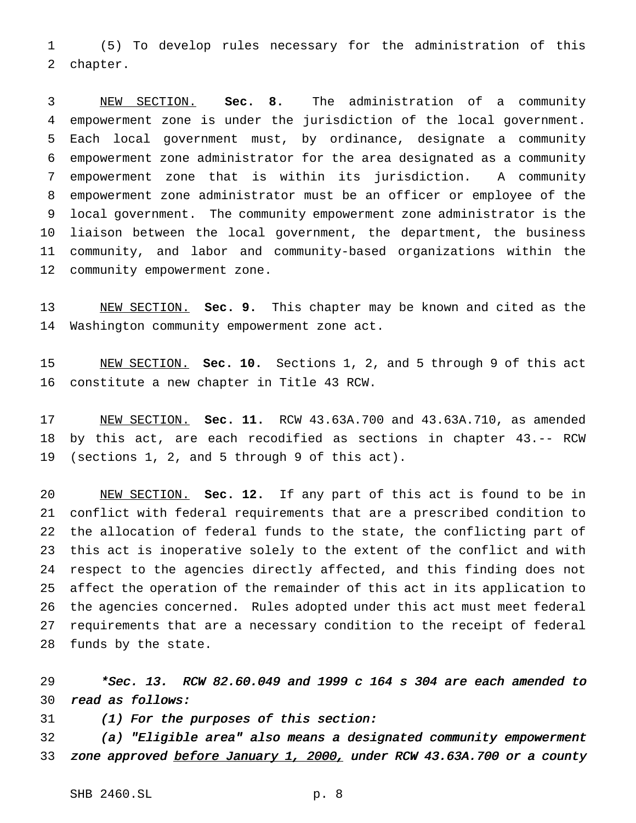(5) To develop rules necessary for the administration of this chapter.

 NEW SECTION. **Sec. 8.** The administration of a community empowerment zone is under the jurisdiction of the local government. Each local government must, by ordinance, designate a community empowerment zone administrator for the area designated as a community empowerment zone that is within its jurisdiction. A community empowerment zone administrator must be an officer or employee of the local government. The community empowerment zone administrator is the liaison between the local government, the department, the business community, and labor and community-based organizations within the community empowerment zone.

 NEW SECTION. **Sec. 9.** This chapter may be known and cited as the Washington community empowerment zone act.

 NEW SECTION. **Sec. 10.** Sections 1, 2, and 5 through 9 of this act constitute a new chapter in Title 43 RCW.

 NEW SECTION. **Sec. 11.** RCW 43.63A.700 and 43.63A.710, as amended by this act, are each recodified as sections in chapter 43.-- RCW (sections 1, 2, and 5 through 9 of this act).

 NEW SECTION. **Sec. 12.** If any part of this act is found to be in conflict with federal requirements that are a prescribed condition to the allocation of federal funds to the state, the conflicting part of this act is inoperative solely to the extent of the conflict and with respect to the agencies directly affected, and this finding does not affect the operation of the remainder of this act in its application to the agencies concerned. Rules adopted under this act must meet federal requirements that are a necessary condition to the receipt of federal funds by the state.

 \*Sec. 13. RCW 82.60.049 and <sup>1999</sup> <sup>c</sup> <sup>164</sup> <sup>s</sup> <sup>304</sup> are each amended to read as follows:

(1) For the purposes of this section:

 (a) "Eligible area" also means <sup>a</sup> designated community empowerment 33 zone approved before January 1, 2000, under RCW 43.63A.700 or a county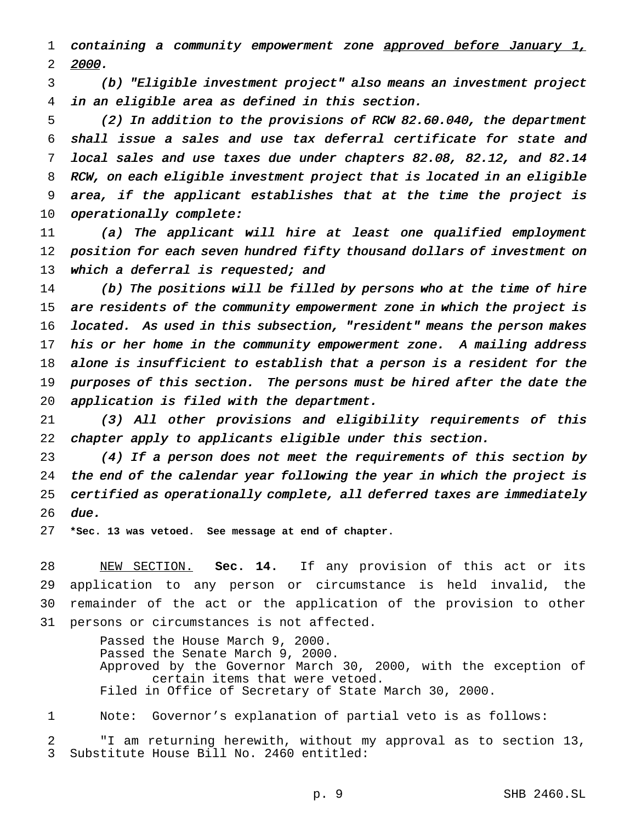1 containing a community empowerment zone approved before January 1, 2000.

 (b) "Eligible investment project" also means an investment project in an eligible area as defined in this section.

 (2) In addition to the provisions of RCW 82.60.040, the department shall issue <sup>a</sup> sales and use tax deferral certificate for state and local sales and use taxes due under chapters 82.08, 82.12, and 82.14 RCW, on each eligible investment project that is located in an eligible area, if the applicant establishes that at the time the project is 10 operationally complete:

 (a) The applicant will hire at least one qualified employment 12 position for each seven hundred fifty thousand dollars of investment on 13 which a deferral is requested; and

 (b) The positions will be filled by persons who at the time of hire are residents of the community empowerment zone in which the project is located. As used in this subsection, "resident" means the person makes his or her home in the community empowerment zone. <sup>A</sup> mailing address alone is insufficient to establish that <sup>a</sup> person is <sup>a</sup> resident for the purposes of this section. The persons must be hired after the date the application is filed with the department.

 (3) All other provisions and eligibility requirements of this chapter apply to applicants eligible under this section.

 (4) If <sup>a</sup> person does not meet the requirements of this section by the end of the calendar year following the year in which the project is certified as operationally complete, all deferred taxes are immediately due.

**\*Sec. 13 was vetoed. See message at end of chapter.**

 NEW SECTION. **Sec. 14.** If any provision of this act or its application to any person or circumstance is held invalid, the remainder of the act or the application of the provision to other persons or circumstances is not affected.

> Passed the House March 9, 2000. Passed the Senate March 9, 2000. Approved by the Governor March 30, 2000, with the exception of certain items that were vetoed. Filed in Office of Secretary of State March 30, 2000.

Note: Governor's explanation of partial veto is as follows:

 "I am returning herewith, without my approval as to section 13, Substitute House Bill No. 2460 entitled: